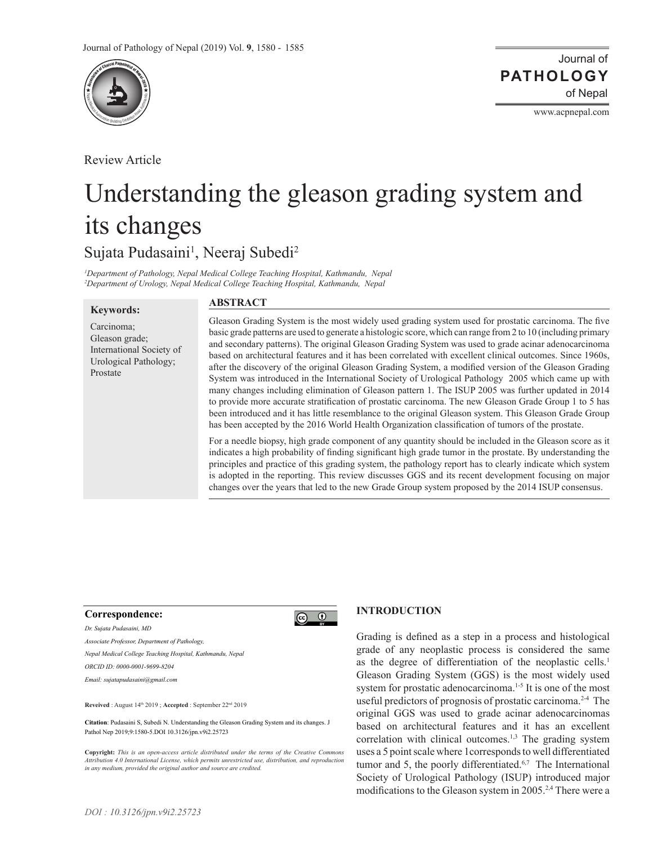

Review Article

www.acpnepal.com

# Understanding the gleason grading system and its changes

Sujata Pudasaini<sup>1</sup>, Neeraj Subedi<sup>2</sup>

*1 Department of Pathology, Nepal Medical College Teaching Hospital, Kathmandu, Nepal 2 Department of Urology, Nepal Medical College Teaching Hospital, Kathmandu, Nepal*

### **Keywords:**

## **ABSTRACT**

Carcinoma; Gleason grade; International Society of Urological Pathology; Prostate

Gleason Grading System is the most widely used grading system used for prostatic carcinoma. The five basic grade patterns are used to generate a histologic score, which can range from 2 to 10 (including primary and secondary patterns). The original Gleason Grading System was used to grade acinar adenocarcinoma based on architectural features and it has been correlated with excellent clinical outcomes. Since 1960s, after the discovery of the original Gleason Grading System, a modified version of the Gleason Grading System was introduced in the International Society of Urological Pathology 2005 which came up with many changes including elimination of Gleason pattern 1. The ISUP 2005 was further updated in 2014 to provide more accurate stratification of prostatic carcinoma. The new Gleason Grade Group 1 to 5 has been introduced and it has little resemblance to the original Gleason system. This Gleason Grade Group has been accepted by the 2016 World Health Organization classification of tumors of the prostate.

For a needle biopsy, high grade component of any quantity should be included in the Gleason score as it indicates a high probability of finding significant high grade tumor in the prostate. By understanding the principles and practice of this grading system, the pathology report has to clearly indicate which system is adopted in the reporting. This review discusses GGS and its recent development focusing on major changes over the years that led to the new Grade Group system proposed by the 2014 ISUP consensus.

#### **Correspondence:**

*Dr. Sujata Pudasaini, MD*

*Associate Professor, Department of Pathology,* 

*Nepal Medical College Teaching Hospital, Kathmandu, Nepal*

*ORCID ID: 0000-0001-9699-8204*

*Email: sujatapudasaini@gmail.com*

**Reveived** : August 14th 2019 ; **Accepted** : September 22nd 2019

**Citation**: Pudasaini S, Subedi N. Understanding the Gleason Grading System and its changes. J Pathol Nep 2019;9:1580-5.DOI 10.3126/jpn.v9i2.25723

**Copyright:** *This is an open-access article distributed under the terms of the Creative Commons Attribution 4.0 International License, which permits unrestricted use, distribution, and reproduction in any medium, provided the original author and source are credited.*

## **INTRODUCTION**

 $\odot$   $\odot$ 

Grading is defined as a step in a process and histological grade of any neoplastic process is considered the same as the degree of differentiation of the neoplastic cells.<sup>1</sup> Gleason Grading System (GGS) is the most widely used system for prostatic adenocarcinoma.<sup>1-5</sup> It is one of the most useful predictors of prognosis of prostatic carcinoma.<sup>2-4</sup> The original GGS was used to grade acinar adenocarcinomas based on architectural features and it has an excellent correlation with clinical outcomes.<sup>1,3</sup> The grading system uses a 5 point scale where 1corresponds to well differentiated tumor and 5, the poorly differentiated.<sup>6,7</sup> The International Society of Urological Pathology (ISUP) introduced major modifications to the Gleason system in 2005.<sup>2,4</sup> There were a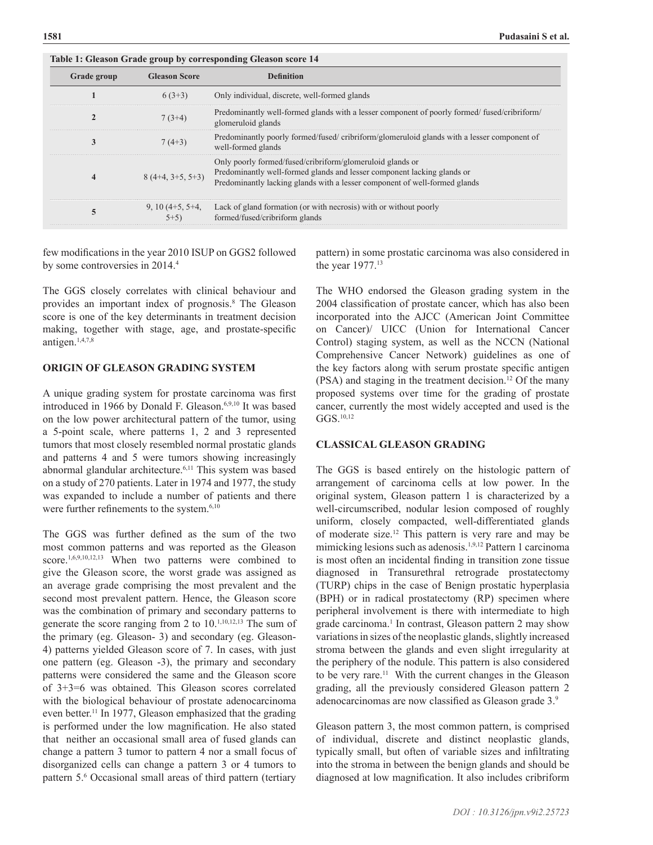| Table 1. Gicason Graue group by corresponding Gicason score 17 |                            |                                                                                                                                                                                                                    |
|----------------------------------------------------------------|----------------------------|--------------------------------------------------------------------------------------------------------------------------------------------------------------------------------------------------------------------|
| Grade group                                                    | <b>Gleason Score</b>       | <b>Definition</b>                                                                                                                                                                                                  |
|                                                                | $6(3+3)$                   | Only individual, discrete, well-formed glands                                                                                                                                                                      |
| $\mathbf{2}$                                                   | $7(3+4)$                   | Predominantly well-formed glands with a lesser component of poorly formed/fused/cribriform/<br>glomeruloid glands                                                                                                  |
| 3                                                              | $7(4+3)$                   | Predominantly poorly formed/fused/ cribriform/glomeruloid glands with a lesser component of<br>well-formed glands                                                                                                  |
| 4                                                              | $8(4+4, 3+5, 5+3)$         | Only poorly formed/fused/cribriform/glomeruloid glands or<br>Predominantly well-formed glands and lesser component lacking glands or<br>Predominantly lacking glands with a lesser component of well-formed glands |
| 5                                                              | $9, 10(4+5, 5+4,$<br>$5+5$ | Lack of gland formation (or with necrosis) with or without poorly<br>formed/fused/cribriform glands                                                                                                                |

few modifications in the year 2010 ISUP on GGS2 followed by some controversies in 2014.<sup>4</sup>

**Table 1: Gleason Grade group by corresponding Gleason score 14**

The GGS closely correlates with clinical behaviour and provides an important index of prognosis.<sup>8</sup> The Gleason score is one of the key determinants in treatment decision making, together with stage, age, and prostate-specific antigen.1,4,7,8

## **ORIGIN OF GLEASON GRADING SYSTEM**

A unique grading system for prostate carcinoma was first introduced in 1966 by Donald F. Gleason.6,9,10 It was based on the low power architectural pattern of the tumor, using a 5-point scale, where patterns 1, 2 and 3 represented tumors that most closely resembled normal prostatic glands and patterns 4 and 5 were tumors showing increasingly abnormal glandular architecture.<sup>6,11</sup> This system was based on a study of 270 patients. Later in 1974 and 1977, the study was expanded to include a number of patients and there were further refinements to the system.<sup>6,10</sup>

The GGS was further defined as the sum of the two most common patterns and was reported as the Gleason score.<sup>1,6,9,10,12,13</sup> When two patterns were combined to give the Gleason score, the worst grade was assigned as an average grade comprising the most prevalent and the second most prevalent pattern. Hence, the Gleason score was the combination of primary and secondary patterns to generate the score ranging from 2 to 10.<sup>1,10,12,13</sup> The sum of the primary (eg. Gleason- 3) and secondary (eg. Gleason-4) patterns yielded Gleason score of 7. In cases, with just one pattern (eg. Gleason -3), the primary and secondary patterns were considered the same and the Gleason score of 3+3=6 was obtained. This Gleason scores correlated with the biological behaviour of prostate adenocarcinoma even better.<sup>11</sup> In 1977, Gleason emphasized that the grading is performed under the low magnification. He also stated that neither an occasional small area of fused glands can change a pattern 3 tumor to pattern 4 nor a small focus of disorganized cells can change a pattern 3 or 4 tumors to pattern 5.<sup>6</sup> Occasional small areas of third pattern (tertiary pattern) in some prostatic carcinoma was also considered in the year 1977.13

The WHO endorsed the Gleason grading system in the 2004 classification of prostate cancer, which has also been incorporated into the AJCC (American Joint Committee on Cancer)/ UICC (Union for International Cancer Control) staging system, as well as the NCCN (National Comprehensive Cancer Network) guidelines as one of the key factors along with serum prostate specific antigen (PSA) and staging in the treatment decision.12 Of the many proposed systems over time for the grading of prostate cancer, currently the most widely accepted and used is the GGS.10,12

## **CLASSICAL GLEASON GRADING**

The GGS is based entirely on the histologic pattern of arrangement of carcinoma cells at low power. In the original system, Gleason pattern 1 is characterized by a well-circumscribed, nodular lesion composed of roughly uniform, closely compacted, well-differentiated glands of moderate size.12 This pattern is very rare and may be mimicking lesions such as adenosis.<sup>1,9,12</sup> Pattern 1 carcinoma is most often an incidental finding in transition zone tissue diagnosed in Transurethral retrograde prostatectomy (TURP) chips in the case of Benign prostatic hyperplasia (BPH) or in radical prostatectomy (RP) specimen where peripheral involvement is there with intermediate to high grade carcinoma.<sup>1</sup> In contrast, Gleason pattern 2 may show variations in sizes of the neoplastic glands, slightly increased stroma between the glands and even slight irregularity at the periphery of the nodule. This pattern is also considered to be very rare.11 With the current changes in the Gleason grading, all the previously considered Gleason pattern 2 adenocarcinomas are now classified as Gleason grade 3.<sup>9</sup>

Gleason pattern 3, the most common pattern, is comprised of individual, discrete and distinct neoplastic glands, typically small, but often of variable sizes and infiltrating into the stroma in between the benign glands and should be diagnosed at low magnification. It also includes cribriform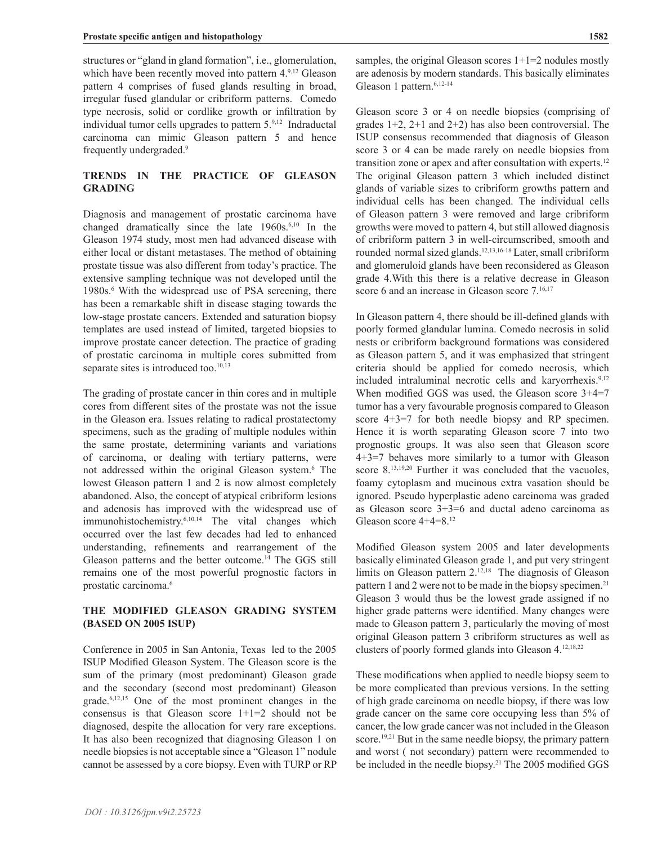structures or "gland in gland formation", i.e., glomerulation, which have been recently moved into pattern 4.9,12 Gleason pattern 4 comprises of fused glands resulting in broad, irregular fused glandular or cribriform patterns. Comedo type necrosis, solid or cordlike growth or infiltration by individual tumor cells upgrades to pattern 5.9,12 Indraductal carcinoma can mimic Gleason pattern 5 and hence frequently undergraded.9

# **TRENDS IN THE PRACTICE OF GLEASON GRADING**

Diagnosis and management of prostatic carcinoma have changed dramatically since the late 1960s.6,10 In the Gleason 1974 study, most men had advanced disease with either local or distant metastases. The method of obtaining prostate tissue was also different from today's practice. The extensive sampling technique was not developed until the 1980s.<sup>6</sup> With the widespread use of PSA screening, there has been a remarkable shift in disease staging towards the low-stage prostate cancers. Extended and saturation biopsy templates are used instead of limited, targeted biopsies to improve prostate cancer detection. The practice of grading of prostatic carcinoma in multiple cores submitted from separate sites is introduced too. $10,13$ 

The grading of prostate cancer in thin cores and in multiple cores from different sites of the prostate was not the issue in the Gleason era. Issues relating to radical prostatectomy specimens, such as the grading of multiple nodules within the same prostate, determining variants and variations of carcinoma, or dealing with tertiary patterns, were not addressed within the original Gleason system.6 The lowest Gleason pattern 1 and 2 is now almost completely abandoned. Also, the concept of atypical cribriform lesions and adenosis has improved with the widespread use of immunohistochemistry.6,10,14 The vital changes which occurred over the last few decades had led to enhanced understanding, refinements and rearrangement of the Gleason patterns and the better outcome.14 The GGS still remains one of the most powerful prognostic factors in prostatic carcinoma.6

## **THE MODIFIED GLEASON GRADING SYSTEM (BASED ON 2005 ISUP)**

Conference in 2005 in San Antonia, Texas led to the 2005 ISUP Modified Gleason System. The Gleason score is the sum of the primary (most predominant) Gleason grade and the secondary (second most predominant) Gleason grade.6,12,15 One of the most prominent changes in the consensus is that Gleason score  $1+1=2$  should not be diagnosed, despite the allocation for very rare exceptions. It has also been recognized that diagnosing Gleason 1 on needle biopsies is not acceptable since a "Gleason 1" nodule cannot be assessed by a core biopsy. Even with TURP or RP

samples, the original Gleason scores  $1+1=2$  nodules mostly are adenosis by modern standards. This basically eliminates Gleason 1 pattern.<sup>6,12-14</sup>

Gleason score 3 or 4 on needle biopsies (comprising of grades  $1+2$ ,  $2+1$  and  $2+2$ ) has also been controversial. The ISUP consensus recommended that diagnosis of Gleason score 3 or 4 can be made rarely on needle biopsies from transition zone or apex and after consultation with experts.12 The original Gleason pattern 3 which included distinct glands of variable sizes to cribriform growths pattern and individual cells has been changed. The individual cells of Gleason pattern 3 were removed and large cribriform growths were moved to pattern 4, but still allowed diagnosis of cribriform pattern 3 in well-circumscribed, smooth and rounded normal sized glands.12,13,16-18 Later, small cribriform and glomeruloid glands have been reconsidered as Gleason grade 4.With this there is a relative decrease in Gleason score 6 and an increase in Gleason score 7.<sup>16,17</sup>

In Gleason pattern 4, there should be ill-defined glands with poorly formed glandular lumina. Comedo necrosis in solid nests or cribriform background formations was considered as Gleason pattern 5, and it was emphasized that stringent criteria should be applied for comedo necrosis, which included intraluminal necrotic cells and karyorrhexis.<sup>9,12</sup> When modified GGS was used, the Gleason score 3+4=7 tumor has a very favourable prognosis compared to Gleason score 4+3=7 for both needle biopsy and RP specimen. Hence it is worth separating Gleason score 7 into two prognostic groups. It was also seen that Gleason score 4+3=7 behaves more similarly to a tumor with Gleason score 8.<sup>13,19,20</sup> Further it was concluded that the vacuoles, foamy cytoplasm and mucinous extra vasation should be ignored. Pseudo hyperplastic adeno carcinoma was graded as Gleason score 3+3=6 and ductal adeno carcinoma as Gleason score 4+4=8.12

Modified Gleason system 2005 and later developments basically eliminated Gleason grade 1, and put very stringent limits on Gleason pattern 2.<sup>12,18</sup> The diagnosis of Gleason pattern 1 and 2 were not to be made in the biopsy specimen.<sup>21</sup> Gleason 3 would thus be the lowest grade assigned if no higher grade patterns were identified. Many changes were made to Gleason pattern 3, particularly the moving of most original Gleason pattern 3 cribriform structures as well as clusters of poorly formed glands into Gleason 4.12,18,22

These modifications when applied to needle biopsy seem to be more complicated than previous versions. In the setting of high grade carcinoma on needle biopsy, if there was low grade cancer on the same core occupying less than 5% of cancer, the low grade cancer was not included in the Gleason score.<sup>19,21</sup> But in the same needle biopsy, the primary pattern and worst ( not secondary) pattern were recommended to be included in the needle biopsy.<sup>21</sup> The 2005 modified GGS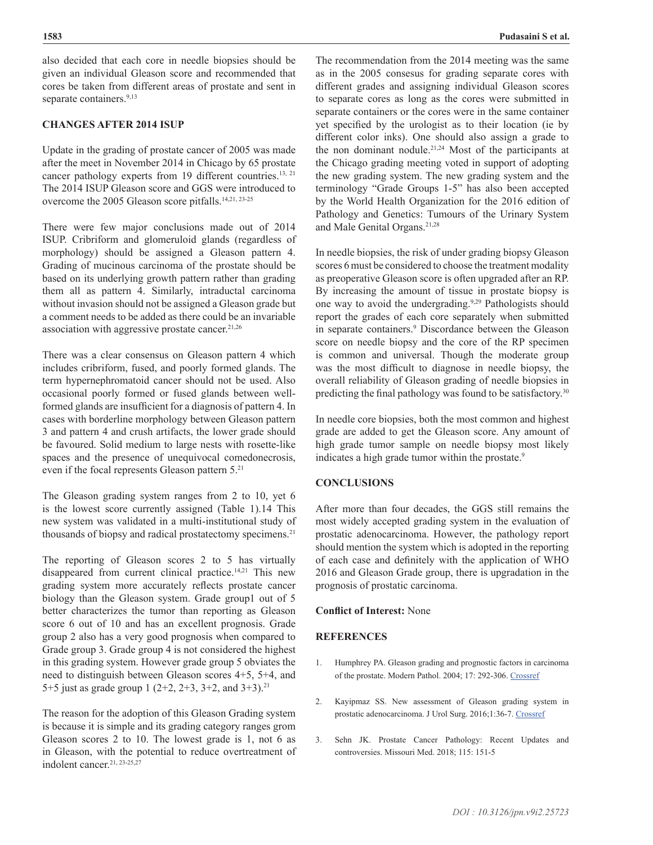also decided that each core in needle biopsies should be given an individual Gleason score and recommended that cores be taken from different areas of prostate and sent in separate containers.<sup>9,13</sup>

## **CHANGES AFTER 2014 ISUP**

Update in the grading of prostate cancer of 2005 was made after the meet in November 2014 in Chicago by 65 prostate cancer pathology experts from 19 different countries.<sup>13, 21</sup> The 2014 ISUP Gleason score and GGS were introduced to overcome the 2005 Gleason score pitfalls.<sup>14,21, 23-25</sup>

There were few major conclusions made out of 2014 ISUP. Cribriform and glomeruloid glands (regardless of morphology) should be assigned a Gleason pattern 4. Grading of mucinous carcinoma of the prostate should be based on its underlying growth pattern rather than grading them all as pattern 4. Similarly, intraductal carcinoma without invasion should not be assigned a Gleason grade but a comment needs to be added as there could be an invariable association with aggressive prostate cancer. $21,26$ 

There was a clear consensus on Gleason pattern 4 which includes cribriform, fused, and poorly formed glands. The term hypernephromatoid cancer should not be used. Also occasional poorly formed or fused glands between wellformed glands are insufficient for a diagnosis of pattern 4. In cases with borderline morphology between Gleason pattern 3 and pattern 4 and crush artifacts, the lower grade should be favoured. Solid medium to large nests with rosette-like spaces and the presence of unequivocal comedonecrosis, even if the focal represents Gleason pattern 5.21

The Gleason grading system ranges from 2 to 10, yet 6 is the lowest score currently assigned (Table 1).14 This new system was validated in a multi-institutional study of thousands of biopsy and radical prostatectomy specimens.<sup>21</sup>

The reporting of Gleason scores 2 to 5 has virtually disappeared from current clinical practice.<sup>14,21</sup> This new grading system more accurately reflects prostate cancer biology than the Gleason system. Grade group1 out of 5 better characterizes the tumor than reporting as Gleason score 6 out of 10 and has an excellent prognosis. Grade group 2 also has a very good prognosis when compared to Grade group 3. Grade group 4 is not considered the highest in this grading system. However grade group 5 obviates the need to distinguish between Gleason scores 4+5, 5+4, and 5+5 just as grade group 1 (2+2, 2+3, 3+2, and 3+3).<sup>21</sup>

The reason for the adoption of this Gleason Grading system is because it is simple and its grading category ranges grom Gleason scores 2 to 10. The lowest grade is 1, not 6 as in Gleason, with the potential to reduce overtreatment of indolent cancer.<sup>21, 23-25,27</sup>

The recommendation from the 2014 meeting was the same as in the 2005 consesus for grading separate cores with different grades and assigning individual Gleason scores to separate cores as long as the cores were submitted in separate containers or the cores were in the same container yet specified by the urologist as to their location (ie by different color inks). One should also assign a grade to the non dominant nodule.21,24 Most of the participants at the Chicago grading meeting voted in support of adopting the new grading system. The new grading system and the terminology "Grade Groups 1-5" has also been accepted by the World Health Organization for the 2016 edition of Pathology and Genetics: Tumours of the Urinary System and Male Genital Organs.<sup>21,28</sup>

In needle biopsies, the risk of under grading biopsy Gleason scores 6 must be considered to choose the treatment modality as preoperative Gleason score is often upgraded after an RP. By increasing the amount of tissue in prostate biopsy is one way to avoid the undergrading.<sup>9,29</sup> Pathologists should report the grades of each core separately when submitted in separate containers.<sup>9</sup> Discordance between the Gleason score on needle biopsy and the core of the RP specimen is common and universal. Though the moderate group was the most difficult to diagnose in needle biopsy, the overall reliability of Gleason grading of needle biopsies in predicting the final pathology was found to be satisfactory.<sup>30</sup>

In needle core biopsies, both the most common and highest grade are added to get the Gleason score. Any amount of high grade tumor sample on needle biopsy most likely indicates a high grade tumor within the prostate.<sup>9</sup>

## **CONCLUSIONS**

After more than four decades, the GGS still remains the most widely accepted grading system in the evaluation of prostatic adenocarcinoma. However, the pathology report should mention the system which is adopted in the reporting of each case and definitely with the application of WHO 2016 and Gleason Grade group, there is upgradation in the prognosis of prostatic carcinoma.

## **Conflict of Interest:** None

## **REFERENCES**

- 1. Humphrey PA. Gleason grading and prognostic factors in carcinoma of the prostate. Modern Pathol. 2004; 17: 292-306. [Crossref](https://doi.org/10.1038/modpathol.3800054)
- 2. Kayipmaz SS. New assessment of Gleason grading system in prostatic adenocarcinoma. J Urol Surg. 2016;1:36-7. [Crossref](https://doi.org/10.4274/jus.796)
- 3. Sehn JK. Prostate Cancer Pathology: Recent Updates and controversies. Missouri Med. 2018; 115: 151-5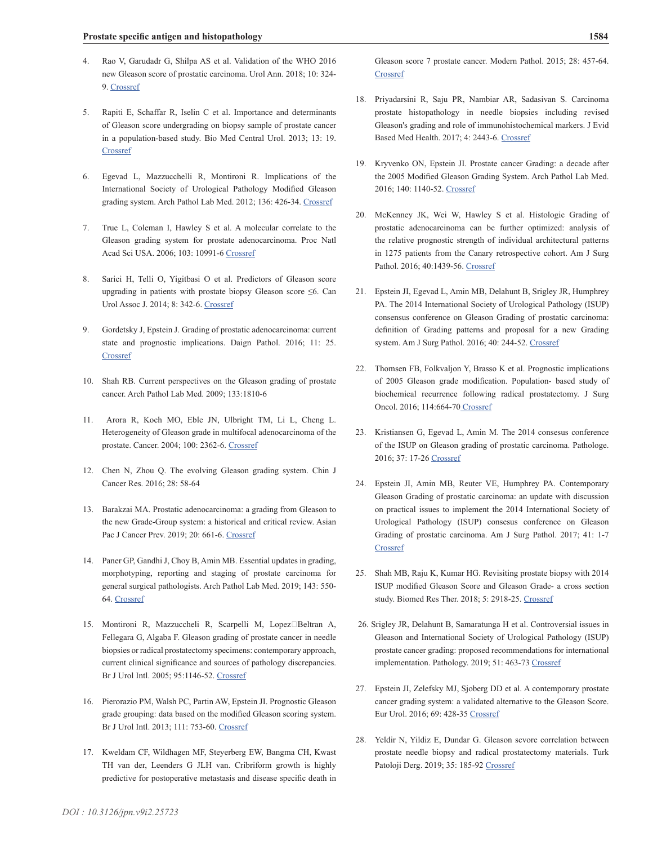- 4. Rao V, Garudadr G, Shilpa AS et al. Validation of the WHO 2016 new Gleason score of prostatic carcinoma. Urol Ann. 2018; 10: 324- 9. [Crossref](https://doi.org/10.4103/UA.UA_185_17)
- 5. Rapiti E, Schaffar R, Iselin C et al. Importance and determinants of Gleason score undergrading on biopsy sample of prostate cancer in a population-based study. Bio Med Central Urol. 2013; 13: 19. **[Crossref](https://doi.org/10.1186/1471-2490-13-19)**
- 6. Egevad L, Mazzucchelli R, Montironi R. Implications of the International Society of Urological Pathology Modified Gleason grading system. Arch Pathol Lab Med. 2012; 136: 426-34. [Crossref](https://doi.org/10.5858/arpa.2011-0495-RA)
- 7. True L, Coleman I, Hawley S et al. A molecular correlate to the Gleason grading system for prostate adenocarcinoma. Proc Natl Acad Sci USA. 2006; 103: 10991-6 [Crossref](https://doi.org/10.1073/pnas.0603678103)
- 8. Sarici H, Telli O, Yigitbasi O et al. Predictors of Gleason score upgrading in patients with prostate biopsy Gleason score ≤6. Can Urol Assoc J. 2014; 8: 342-6. [Crossref](https://doi.org/10.5489/cuaj.1499)
- 9. Gordetsky J, Epstein J. Grading of prostatic adenocarcinoma: current state and prognostic implications. Daign Pathol. 2016; 11: 25. **[Crossref](https://doi.org/10.1186/s13000-016-0478-2)**
- 10. Shah RB. Current perspectives on the Gleason grading of prostate cancer. Arch Pathol Lab Med. 2009; 133:1810-6
- 11. Arora R, Koch MO, Eble JN, Ulbright TM, Li L, Cheng L. Heterogeneity of Gleason grade in multifocal adenocarcinoma of the prostate. Cancer. 2004; 100: 2362-6. [Crossref](https://doi.org/10.1002/cncr.20243)
- 12. Chen N, Zhou Q. The evolving Gleason grading system. Chin J Cancer Res. 2016; 28: 58-64
- 13. Barakzai MA. Prostatic adenocarcinoma: a grading from Gleason to the new Grade-Group system: a historical and critical review. Asian Pac J Cancer Prev. 2019; 20: 661-6. [Crossref](https://doi.org/10.31557/APJCP.2019.20.3.661.)
- 14. Paner GP, Gandhi J, Choy B, Amin MB. Essential updates in grading, morphotyping, reporting and staging of prostate carcinoma for general surgical pathologists. Arch Pathol Lab Med. 2019; 143: 550- 64. [Crossref](https://doi.org/10.5858/arpa.2018-0334-RA)
- 15. Montironi R, Mazzuccheli R, Scarpelli M, Lopez□Beltran A, Fellegara G, Algaba F. Gleason grading of prostate cancer in needle biopsies or radical prostatectomy specimens: contemporary approach, current clinical significance and sources of pathology discrepancies. Br J Urol Intl. 2005; 95:1146-52. [Crossref](https://doi.org/10.1111/j.1464-410X.2005.05540.x)
- 16. Pierorazio PM, Walsh PC, Partin AW, Epstein JI. Prognostic Gleason grade grouping: data based on the modified Gleason scoring system. Br J Urol Intl. 2013; 111: 753-60. [Crossref](https://doi.org/10.1111/j.1464-410X.2012.11611.x)
- 17. Kweldam CF, Wildhagen MF, Steyerberg EW, Bangma CH, Kwast TH van der, Leenders G JLH van. Cribriform growth is highly predictive for postoperative metastasis and disease specific death in

Gleason score 7 prostate cancer. Modern Pathol. 2015; 28: 457-64. **[Crossref](https://doi.org/10.1038/modpathol.2014.116)** 

- 18. Priyadarsini R, Saju PR, Nambiar AR, Sadasivan S. Carcinoma prostate histopathology in needle biopsies including revised Gleason's grading and role of immunohistochemical markers. J Evid Based Med Health. 2017; 4: 2443-6. [Crossref](https://doi.org/10.18410/jebmh/2017/482)
- 19. Kryvenko ON, Epstein JI. Prostate cancer Grading: a decade after the 2005 Modified Gleason Grading System. Arch Pathol Lab Med. 2016; 140: 1140-52. [Crossref](https://doi.org/10.5858/arpa.2015-0487-SA)
- 20. McKenney JK, Wei W, Hawley S et al. Histologic Grading of prostatic adenocarcinoma can be further optimized: analysis of the relative prognostic strength of individual architectural patterns in 1275 patients from the Canary retrospective cohort. Am J Surg Pathol. 2016; 40:1439-56. [Crossref](https://doi.org/10.1097/PAS.0000000000000736)
- 21. Epstein JI, Egevad L, Amin MB, Delahunt B, Srigley JR, Humphrey PA. The 2014 International Society of Urological Pathology (ISUP) consensus conference on Gleason Grading of prostatic carcinoma: definition of Grading patterns and proposal for a new Grading system. Am J Surg Pathol. 2016; 40: 244-52. [Crossref](https://doi.org/10.1097/PAS.0000000000000530)
- 22. Thomsen FB, Folkvaljon Y, Brasso K et al. Prognostic implications of 2005 Gleason grade modification. Population- based study of biochemical recurrence following radical prostatectomy. J Surg Oncol. 2016; 114:664-70 [Crossref](https://doi.org/10.1002/jso.24408)
- 23. Kristiansen G, Egevad L, Amin M. The 2014 consesus conference of the ISUP on Gleason grading of prostatic carcinoma. Pathologe. 2016; 37: 17-26 [Crossref](https://doi.org/10.1007/s00292-015-0136-6)
- 24. Epstein JI, Amin MB, Reuter VE, Humphrey PA. Contemporary Gleason Grading of prostatic carcinoma: an update with discussion on practical issues to implement the 2014 International Society of Urological Pathology (ISUP) consesus conference on Gleason Grading of prostatic carcinoma. Am J Surg Pathol. 2017; 41: 1-7 **[Crossref](https://doi.org/10.1097/PAS.0000000000000820)**
- 25. Shah MB, Raju K, Kumar HG. Revisiting prostate biopsy with 2014 ISUP modified Gleason Score and Gleason Grade- a cross section study. Biomed Res Ther. 2018; 5: 2918-25. [Crossref](https://doi.org/10.15419/bmrat.v5i12.511)
- 26. Srigley JR, Delahunt B, Samaratunga H et al. Controversial issues in Gleason and International Society of Urological Pathology (ISUP) prostate cancer grading: proposed recommendations for international implementation. Pathology. 2019; 51: 463-73 [Crossref](https://doi.org/10.1016/j.pathol.2019.05.001)
- 27. Epstein JI, Zelefsky MJ, Sjoberg DD et al. A contemporary prostate cancer grading system: a validated alternative to the Gleason Score. Eur Urol. 2016; 69: 428-35 [Crossref](https://doi.org/10.1016/j.eururo.2015.06.046)
- 28. Yeldir N, Yildiz E, Dundar G. Gleason scvore correlation between prostate needle biopsy and radical prostatectomy materials. Turk Patoloji Derg. 2019; 35: 185-92 [Crossref](https://doi.org/10.5146/tjpath.2018.01453)